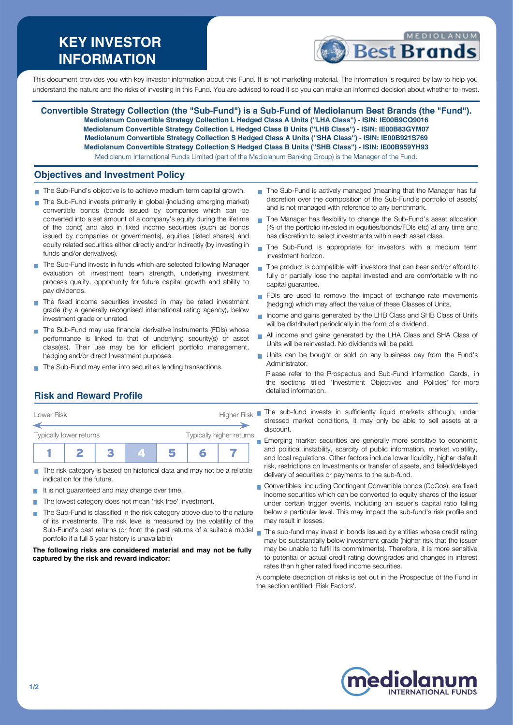# **KEY INVESTOR INFORMATION**



This document provides you with key investor information about this Fund. It is not marketing material. The information is required by law to help you understand the nature and the risks of investing in this Fund. You are advised to read it so you can make an informed decision about whether to invest.

**Convertible Strategy Collection (the "Sub-Fund") is a Sub-Fund of Mediolanum Best Brands (the "Fund"). Mediolanum Convertible Strategy Collection L Hedged Class A Units (''LHA Class'') - ISIN: IE00B9CQ9016 Mediolanum Convertible Strategy Collection L Hedged Class B Units (''LHB Class'') - ISIN: IE00B83GYM07 Mediolanum Convertible Strategy Collection S Hedged Class A Units (''SHA Class'') - ISIN: IE00B921S769 Mediolanum Convertible Strategy Collection S Hedged Class B Units (''SHB Class'') - ISIN: IE00B959YH93** Mediolanum International Funds Limited (part of the Mediolanum Banking Group) is the Manager of the Fund.

### **Objectives and Investment Policy**

- The Sub-Fund's objective is to achieve medium term capital growth.
- The Sub-Fund invests primarily in global (including emerging market) convertible bonds (bonds issued by companies which can be converted into a set amount of a company's equity during the lifetime of the bond) and also in fixed income securities (such as bonds issued by companies or governments), equities (listed shares) and equity related securities either directly and/or indirectly (by investing in funds and/or derivatives).
- The Sub-Fund invests in funds which are selected following Manager evaluation of: investment team strength, underlying investment process quality, opportunity for future capital growth and ability to pay dividends.
- The fixed income securities invested in may be rated investment grade (by a generally recognised international rating agency), below investment grade or unrated.
- The Sub-Fund may use financial derivative instruments (FDIs) whose performance is linked to that of underlying security(s) or asset class(es). Their use may be for efficient portfolio management, hedging and/or direct Investment purposes.
- The Sub-Fund may enter into securities lending transactions.
- The Sub-Fund is actively managed (meaning that the Manager has full discretion over the composition of the Sub-Fund's portfolio of assets) and is not managed with reference to any benchmark.
- The Manager has flexibility to change the Sub-Fund's asset allocation (% of the portfolio invested in equities/bonds/FDIs etc) at any time and has discretion to select investments within each asset class.
- The Sub-Fund is appropriate for investors with a medium term  $\blacksquare$ investment horizon.
- The product is compatible with investors that can bear and/or afford to Ħ fully or partially lose the capital invested and are comfortable with no capital guarantee.
- FDIs are used to remove the impact of exchange rate movements (hedging) which may affect the value of these Classes of Units.
- Income and gains generated by the LHB Class and SHB Class of Units will be distributed periodically in the form of a dividend.
- All income and gains generated by the LHA Class and SHA Class of Ħ Units will be reinvested. No dividends will be paid.
- Units can be bought or sold on any business day from the Fund's Administrator.

Please refer to the Prospectus and Sub-Fund Information Cards, in the sections titled 'Investment Objectives and Policies' for more detailed information.

# **Risk and Reward Profile**

| Lower Risk              |                          | <b>Higher Risk</b> |  |  |  |  |
|-------------------------|--------------------------|--------------------|--|--|--|--|
| Typically lower returns | Typically higher returns |                    |  |  |  |  |
|                         |                          |                    |  |  |  |  |

- The risk category is based on historical data and may not be a reliable П indication for the future.
- It is not guaranteed and may change over time.
- The lowest category does not mean 'risk free' investment.
- The Sub-Fund is classified in the risk category above due to the nature  $\sim$ of its investments. The risk level is measured by the volatility of the Sub-Fund's past returns (or from the past returns of a suitable model portfolio if a full 5 year history is unavailable).

#### **The following risks are considered material and may not be fully captured by the risk and reward indicator:**

The sub-fund invests in sufficiently liquid markets although, under stressed market conditions, it may only be able to sell assets at a discount.

**Emerging market securities are generally more sensitive to economic** and political instability, scarcity of public information, market volatility, and local regulations. Other factors include lower liquidity, higher default risk, restrictions on Investments or transfer of assets, and failed/delayed delivery of securities or payments to the sub-fund.

- Convertibles, including Contingent Convertible bonds (CoCos), are fixed income securities which can be converted to equity shares of the issuer under certain trigger events, including an issuer's capital ratio falling below a particular level. This may impact the sub-fund's risk profile and may result in losses.
- The sub-fund may invest in bonds issued by entities whose credit rating may be substantially below investment grade (higher risk that the issuer may be unable to fulfil its commitments). Therefore, it is more sensitive to potential or actual credit rating downgrades and changes in interest rates than higher rated fixed income securities.

A complete description of risks is set out in the Prospectus of the Fund in the section entitled 'Risk Factors'.